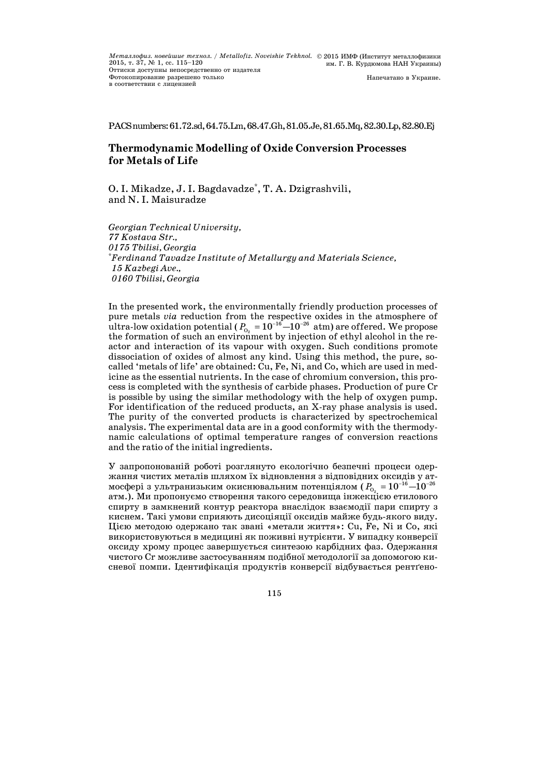PACSnumbers:61.72.sd,64.75.Lm,68.47.Gh,81.05.Je,81.65.Mq,82.30.Lp,82.80.Ej

# **Thermodynamic Modelling of Oxide Conversion Processes for Metals of Life**

O. I. Mikadze, J. I. Bagdavadze\* , T. A. Dzigrashvili, and N. I. Maisuradze

*Georgian Technical University, Kostava Str., Tbilisi, Georgia* \* *Ferdinand Tavadze Institute of Metallurgy and Materials Science, Kazbegi Ave., Tbilisi, Georgia* 

In the presented work, the environmentally friendly production processes of pure metals *via* reduction from the respective oxides in the atmosphere of  ${\rm ultra}$ -low oxidation potential (  $P_{_{\rm O_2}}$  =  $10^{-16}$   $\rm{-}10^{-26}$   ${\rm atm})$  are offered. We propose the formation of such an environment by injection of ethyl alcohol in the reactor and interaction of its vapour with oxygen. Such conditions promote dissociation of oxides of almost any kind. Using this method, the pure, socalled 'metals of life' are obtained: Cu, Fe, Ni, and Co, which are used in medicine as the essential nutrients. In the case of chromium conversion, this process is completed with the synthesis of carbide phases. Production of pure Cr is possible by using the similar methodology with the help of oxygen pump. For identification of the reduced products, an X-ray phase analysis is used. The purity of the converted products is characterized by spectrochemical analysis. The experimental data are in a good conformity with the thermodynamic calculations of optimal temperature ranges of conversion reactions and the ratio of the initial ingredients.

У запропонованій роботі розглянуто екологічно безпечні процеси одержання чистих металів шляхом їх відновлення з відповідних оксидів у атмосфері з ультранизьким окиснювальним потенціялом ( $P_{_{\mathrm{O}_2}}$  =  $10^{-16}$   $\! \!10^{-26}$ атм.). Ми пропонуємо створення такого середовища інжекцією етилового спирту в замкнений контур реактора внаслідок взаємодії пари спирту з киснем. Такі умови сприяють дисоціяції оксидів майже будь-якого виду. Цією методою одержано так звані «метали життя»: Cu, Fe, Ni и Co, які використовуються в медицині як поживні нутрієнти. У випадку конверсії оксиду хрому процес завершується синтезою карбідних фаз. Одержання чистого Cr можливе застосуванням подібної методології за допомогою кисневої помпи. Ідентифікація продуктів конверсії відбувається рентґено-

115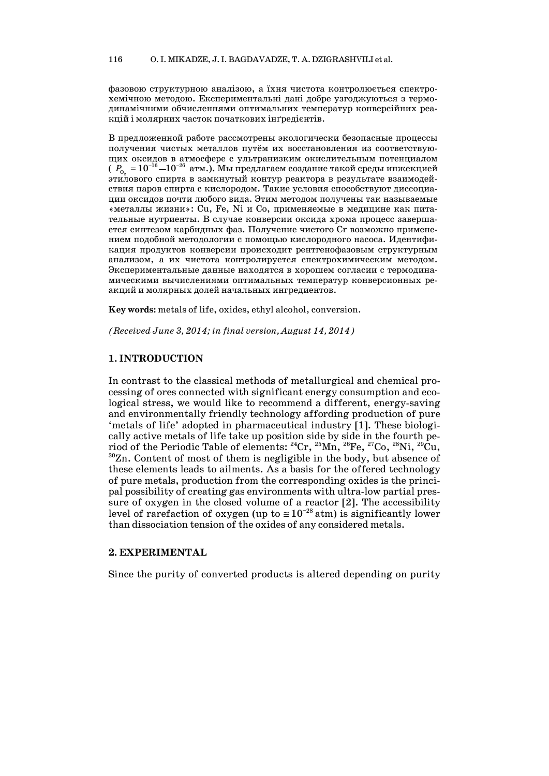фазовою структурною аналізою, а їхня чистота контролюється спектрохемічною методою. Експериментальні дані добре узгоджуються з термодинамічними обчисленнями оптимальних температур конверсійних реакцій і молярних часток початкових інґредієнтів.

В предложенной работе рассмотрены экологически безопасные процессы получения чистых металлов путём их восстановления из соответствующих оксидов в атмосфере с ультранизким окислительным потенциалом  $(\begin{bmatrix} P_{0} & =10^{-16} - 10^{-26} \end{bmatrix}$ атм.). Мы предлагаем создание такой среды инжекцией этилового спирта в замкнутый контур реактора в результате взаимодействия паров спирта с кислородом. Такие условия способствуют диссоциации оксидов почти любого вида. Этим методом получены так называемые «металлы жизни»: Cu, Fe, Ni и Co, применяемые в медицине как питательные нутриенты. В случае конверсии оксида хрома процесс завершается синтезом карбидных фаз. Получение чистого Ст возможно применением подобной методологии с помощью кислородного насоса. Идентификация продуктов конверсии происходит рентгенофазовым структурным анализом, а их чистота контролируется спектрохимическим методом. Экспериментальные данные находятся в хорошем согласии с термодинамическими вычислениями оптимальных температур конверсионных реакций и молярных долей начальных ингредиентов.

Key words: metals of life, oxides, ethyl alcohol, conversion.

(Received June 3, 2014; in final version, August 14, 2014)

## 1. INTRODUCTION

In contrast to the classical methods of metallurgical and chemical processing of ores connected with significant energy consumption and ecological stress, we would like to recommend a different, energy-saving and environmentally friendly technology affording production of pure 'metals of life' adopted in pharmaceutical industry [1]. These biologically active metals of life take up position side by side in the fourth period of the Periodic Table of elements: <sup>24</sup>Cr, <sup>25</sup>Mn, <sup>26</sup>Fe, <sup>27</sup>Co, <sup>28</sup>Ni, <sup>29</sup>Cu, <sup>30</sup>Zn. Content of most of them is negligible in the body, but absence of these elements leads to allments. As a basis for the offered technology of pure metals, production from the corresponding oxides is the principal possibility of creating gas environments with ultra-low partial pressure of oxygen in the closed volume of a reactor [2]. The accessibility level of rarefaction of oxygen (up to  $\approx 10^{-28}$  atm) is significantly lower than dissociation tension of the oxides of any considered metals.

## 2. EXPERIMENTAL

Since the purity of converted products is altered depending on purity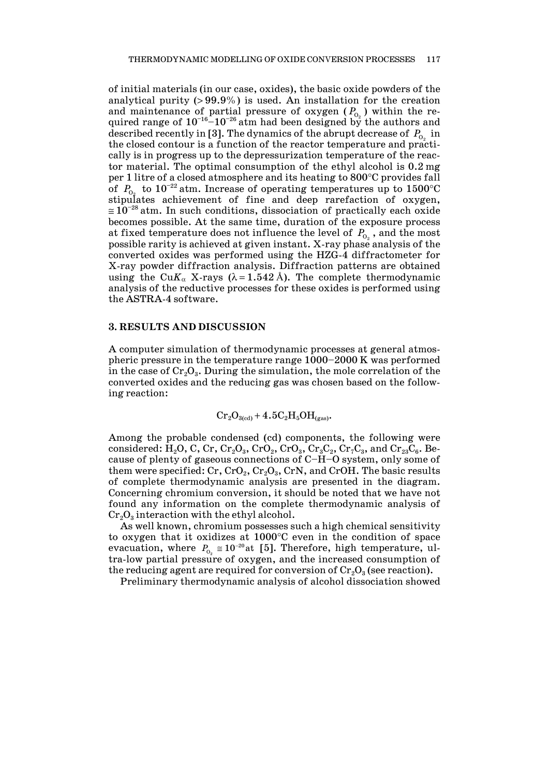of initial materials (in our case, oxides), the basic oxide powders of the analytical purity  $( > 99.9\%)$  is used. An installation for the creation and maintenance of partial pressure of oxygen  $(P_{O_2})$  within the required range of  $10^{-16}$ – $10^{-26}$  atm had been designed by the authors and described recently in [3]. The dynamics of the abrupt decrease of  $P_{0}$  in the closed contour is a function of the reactor temperature and practically is in progress up to the depressurization temperature of the reactor material. The optimal consumption of the ethyl alcohol is 0.2 mg per 1 litre of a closed atmosphere and its heating to 800°C provides fall of  $P_{0}$ , to  $10^{-22}$  atm. Increase of operating temperatures up to  $1500^{\circ}$ C stipulates achievement of fine and deep rarefaction of oxygen,  $\approx 10^{-28}$  atm. In such conditions, dissociation of practically each oxide becomes possible. At the same time, duration of the exposure process at fixed temperature does not influence the level of  $P_{0}$ , and the most possible rarity is achieved at given instant. X-ray phase analysis of the converted oxides was performed using the HZG-4 diffractometer for X-ray powder diffraction analysis. Diffraction patterns are obtained using the Cu $K_{\alpha}$  X-rays ( $\lambda$ =1.542 Å). The complete thermodynamic analysis of the reductive processes for these oxides is performed using the ASTRA-4 software.

#### **3. RESULTS AND DISCUSSION**

A computer simulation of thermodynamic processes at general atmospheric pressure in the temperature range 1000—2000 K was performed in the case of  $Cr_2O_3$ . During the simulation, the mole correlation of the converted oxides and the reducing gas was chosen based on the following reaction:

$$
Cr_2O_{3(cd)} + 4.5C_2H_5OH_{(gas)}.
$$

Among the probable condensed (cd) components, the following were considered: H<sub>2</sub>O, C, Cr, Cr<sub>2</sub>O<sub>3</sub>, CrO<sub>2</sub>, Cr<sub>2</sub>C<sub>3</sub>, Cr<sub>3</sub>C<sub>2</sub>, Cr<sub>7</sub>C<sub>3</sub>, and Cr<sub>23</sub>C<sub>6</sub>. Because of plenty of gaseous connections of C—H—O system, only some of them were specified:  $Cr, CrO<sub>2</sub>, Cr<sub>2</sub>O<sub>3</sub>, CrN,$  and CrOH. The basic results of complete thermodynamic analysis are presented in the diagram. Concerning chromium conversion, it should be noted that we have not found any information on the complete thermodynamic analysis of  $Cr_2O_3$  interaction with the ethyl alcohol.

 As well known, chromium possesses such a high chemical sensitivity to oxygen that it oxidizes at 1000°C even in the condition of space evacuation, where  $P_{_{\textrm{O}_2}} \approx 10^{-20}$  at [5]. Therefore, high temperature, ultra-low partial pressure of oxygen, and the increased consumption of the reducing agent are required for conversion of  $Cr_2O_3$  (see reaction).

Preliminary thermodynamic analysis of alcohol dissociation showed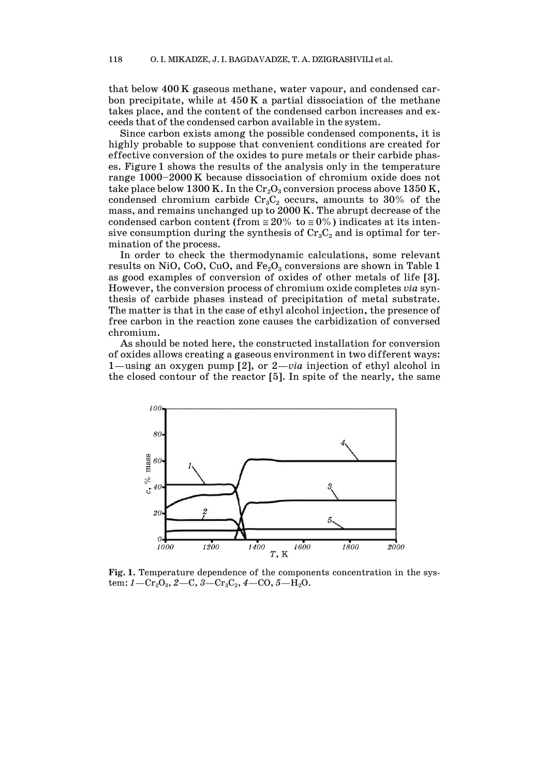that below 400 K gaseous methane, water vapour, and condensed carbon precipitate, while at 450 K a partial dissociation of the methane takes place, and the content of the condensed carbon increases and exceeds that of the condensed carbon available in the system.

 Since carbon exists among the possible condensed components, it is highly probable to suppose that convenient conditions are created for effective conversion of the oxides to pure metals or their carbide phases. Figure 1 shows the results of the analysis only in the temperature range 1000—2000 K because dissociation of chromium oxide does not take place below 1300 K. In the  $Cr_2O_3$  conversion process above 1350 K, condensed chromium carbide  $Cr_3C_2$  occurs, amounts to 30% of the mass, and remains unchanged up to 2000 K. The abrupt decrease of the condensed carbon content (from  $\approx 20\%$  to  $\approx 0\%$ ) indicates at its intensive consumption during the synthesis of  $Cr_3C_2$  and is optimal for termination of the process.

 In order to check the thermodynamic calculations, some relevant results on NiO, CoO, CuO, and  $Fe<sub>2</sub>O<sub>3</sub>$  conversions are shown in Table 1 as good examples of conversion of oxides of other metals of life [3]. However, the conversion process of chromium oxide completes *via* synthesis of carbide phases instead of precipitation of metal substrate. The matter is that in the case of ethyl alcohol injection, the presence of free carbon in the reaction zone causes the carbidization of conversed chromium.

 As should be noted here, the constructed installation for conversion of oxides allows creating a gaseous environment in two different ways: 1–using an oxygen pump [2], or 2–*via* injection of ethyl alcohol in the closed contour of the reactor [5]. In spite of the nearly, the same



**Fig. 1.** Temperature dependence of the components concentration in the sys $tem: I - Cr<sub>2</sub>O<sub>3</sub>, 2-C, 3-Cr<sub>3</sub>C<sub>2</sub>, 4-CO, 5-H<sub>2</sub>O.$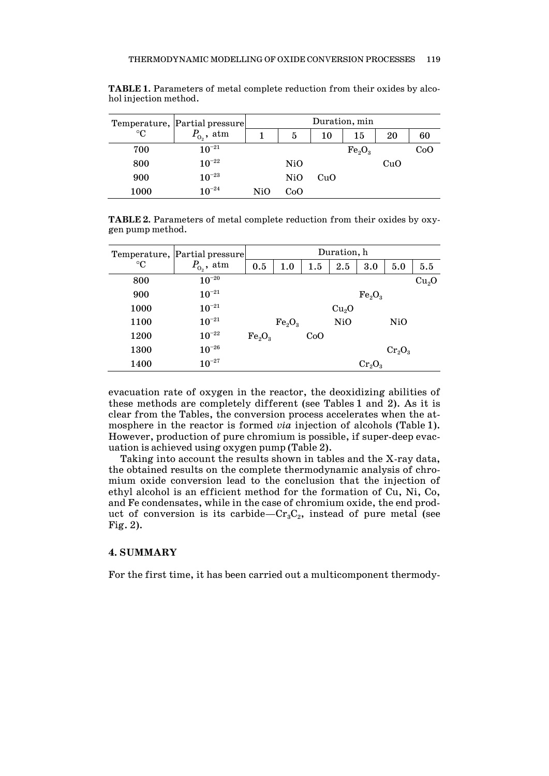|                 | Temperature,  Partial pressure <br>$P_{0}$ , atm | Duration, min |     |     |                                |     |     |  |
|-----------------|--------------------------------------------------|---------------|-----|-----|--------------------------------|-----|-----|--|
| $\rm ^{\circ}C$ |                                                  |               | 5   | 10  | 15                             | 20  | 60  |  |
| 700             | $10^{-21}$                                       |               |     |     | Fe <sub>2</sub> O <sub>3</sub> |     | CoO |  |
| 800             | $10^{-22}$                                       |               | NiO |     |                                | CuO |     |  |
| 900             | $10^{-23}$                                       |               | NiO | CuO |                                |     |     |  |
| 1000            | $10^{-24}$                                       | NiO           | CoO |     |                                |     |     |  |

**TABLE 1.** Parameters of metal complete reduction from their oxides by alcohol injection method.

**TABLE 2.** Parameters of metal complete reduction from their oxides by oxygen pump method.

| Temperature,<br>$\rm ^{\circ}C$ | Partial pressure<br>$P_{\mathrm{o}_2}$ , atm | Duration, h                    |                                |     |                   |                                |           |                   |
|---------------------------------|----------------------------------------------|--------------------------------|--------------------------------|-----|-------------------|--------------------------------|-----------|-------------------|
|                                 |                                              | 0.5                            | 1.0                            | 1.5 | 2.5               | 3.0                            | 5.0       | 5.5               |
| 800                             | $10^{-20}$                                   |                                |                                |     |                   |                                |           | Cu <sub>2</sub> O |
| 900                             | $10^{-21}$                                   |                                |                                |     |                   | Fe <sub>2</sub> O <sub>3</sub> |           |                   |
| 1000                            | $10^{-21}$                                   |                                |                                |     | Cu <sub>2</sub> O |                                |           |                   |
| 1100                            | $10^{-21}$                                   |                                | Fe <sub>2</sub> O <sub>3</sub> |     | Ni <sub>0</sub>   |                                | NiO       |                   |
| 1200                            | $10^{-22}$                                   | Fe <sub>2</sub> O <sub>3</sub> |                                | CoO |                   |                                |           |                   |
| 1300                            | $10^{-26}$                                   |                                |                                |     |                   |                                | $Cr_2O_3$ |                   |
| 1400                            | $10^{-27}$                                   |                                |                                |     |                   | $Cr_2O_3$                      |           |                   |

evacuation rate of oxygen in the reactor, the deoxidizing abilities of these methods are completely different (see Tables 1 and 2). As it is clear from the Tables, the conversion process accelerates when the atmosphere in the reactor is formed *via* injection of alcohols (Table 1). However, production of pure chromium is possible, if super-deep evacuation is achieved using oxygen pump (Table 2).

 Taking into account the results shown in tables and the X-ray data, the obtained results on the complete thermodynamic analysis of chromium oxide conversion lead to the conclusion that the injection of ethyl alcohol is an efficient method for the formation of Cu, Ni, Co, and Fe condensates, while in the case of chromium oxide, the end product of conversion is its carbide– $Cr_3C_2$ , instead of pure metal (see Fig. 2).

## **4. SUMMARY**

For the first time, it has been carried out a multicomponent thermody-